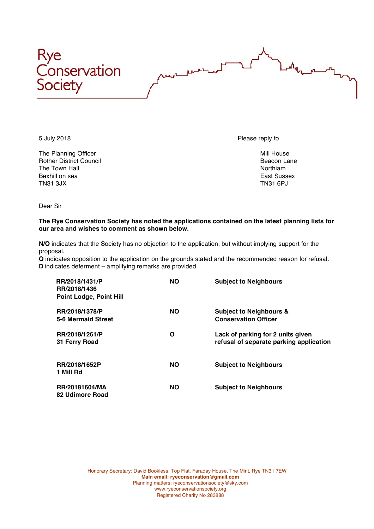

The Planning Officer Mill House and The Planning Officer Mill House and The Planning Officer Rother District Council and the Town Hall Beacon Lane Council and The Town Hall Beacon Lane Rother and The Town Hall and The Town Hall and The Town Hall and The Town Hall and The Town Hall and The Town Hall and The Town Ha The Town Hall Bexhill on sea **East Sussex** East Sussex TN31 3JX TN31 6PJ

5 July 2018 Please reply to

Dear Sir

## **The Rye Conservation Society has noted the applications contained on the latest planning lists for our area and wishes to comment as shown below.**

nn. **ILIV** 

**N/O** indicates that the Society has no objection to the application, but without implying support for the proposal.

**O** indicates opposition to the application on the grounds stated and the recommended reason for refusal. **D** indicates deferment – amplifying remarks are provided.

| RR/2018/1431/P<br>RR/2018/1436<br><b>Point Lodge, Point Hill</b> | <b>NO</b> | <b>Subject to Neighbours</b>                                                 |
|------------------------------------------------------------------|-----------|------------------------------------------------------------------------------|
| RR/2018/1378/P<br>5-6 Mermaid Street                             | <b>NO</b> | <b>Subject to Neighbours &amp;</b><br><b>Conservation Officer</b>            |
| RR/2018/1261/P<br>31 Ferry Road                                  | O         | Lack of parking for 2 units given<br>refusal of separate parking application |
| RR/2018/1652P<br>1 Mill Rd                                       | <b>NO</b> | <b>Subject to Neighbours</b>                                                 |
| RR/20181604/MA<br>82 Udimore Road                                | <b>NO</b> | <b>Subject to Neighbours</b>                                                 |